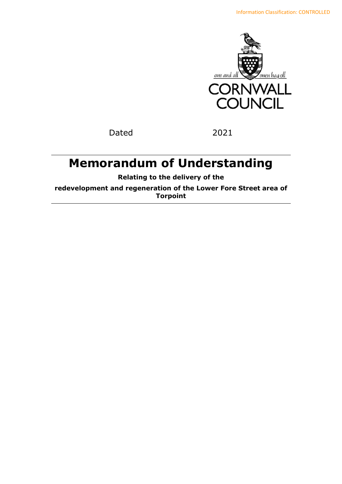

Dated 2021

# **Memorandum of Understanding**

**Relating to the delivery of the** 

**redevelopment and regeneration of the Lower Fore Street area of Torpoint**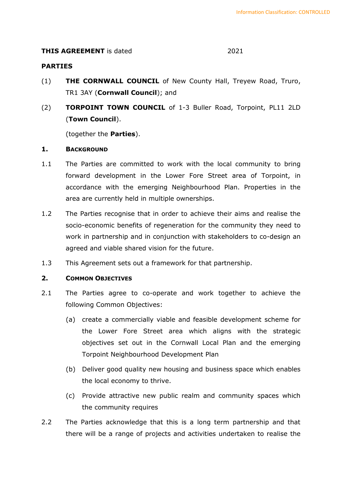# **THIS AGREEMENT** is dated 2021

# **PARTIES**

- (1) **THE CORNWALL COUNCIL** of New County Hall, Treyew Road, Truro, TR1 3AY (**Cornwall Council**); and
- (2) **TORPOINT TOWN COUNCIL** of 1-3 Buller Road, Torpoint, PL11 2LD (**Town Council**).

(together the **Parties**).

# **1. BACKGROUND**

- 1.1 The Parties are committed to work with the local community to bring forward development in the Lower Fore Street area of Torpoint, in accordance with the emerging Neighbourhood Plan. Properties in the area are currently held in multiple ownerships.
- 1.2 The Parties recognise that in order to achieve their aims and realise the socio-economic benefits of regeneration for the community they need to work in partnership and in conjunction with stakeholders to co-design an agreed and viable shared vision for the future.
- 1.3 This Agreement sets out a framework for that partnership.

#### **2. COMMON OBJECTIVES**

- 2.1 The Parties agree to co-operate and work together to achieve the following Common Objectives:
	- (a) create a commercially viable and feasible development scheme for the Lower Fore Street area which aligns with the strategic objectives set out in the Cornwall Local Plan and the emerging Torpoint Neighbourhood Development Plan
	- (b) Deliver good quality new housing and business space which enables the local economy to thrive.
	- (c) Provide attractive new public realm and community spaces which the community requires
- 2.2 The Parties acknowledge that this is a long term partnership and that there will be a range of projects and activities undertaken to realise the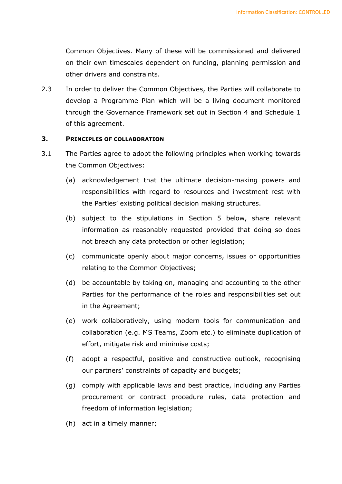Common Objectives. Many of these will be commissioned and delivered on their own timescales dependent on funding, planning permission and other drivers and constraints.

2.3 In order to deliver the Common Objectives, the Parties will collaborate to develop a Programme Plan which will be a living document monitored through the Governance Framework set out in Section 4 and Schedule 1 of this agreement.

# **3. PRINCIPLES OF COLLABORATION**

- 3.1 The Parties agree to adopt the following principles when working towards the Common Objectives:
	- (a) acknowledgement that the ultimate decision-making powers and responsibilities with regard to resources and investment rest with the Parties' existing political decision making structures.
	- (b) subject to the stipulations in Section 5 below, share relevant information as reasonably requested provided that doing so does not breach any data protection or other legislation;
	- (c) communicate openly about major concerns, issues or opportunities relating to the Common Objectives;
	- (d) be accountable by taking on, managing and accounting to the other Parties for the performance of the roles and responsibilities set out in the Agreement;
	- (e) work collaboratively, using modern tools for communication and collaboration (e.g. MS Teams, Zoom etc.) to eliminate duplication of effort, mitigate risk and minimise costs;
	- (f) adopt a respectful, positive and constructive outlook, recognising our partners' constraints of capacity and budgets;
	- (g) comply with applicable laws and best practice, including any Parties procurement or contract procedure rules, data protection and freedom of information legislation;
	- (h) act in a timely manner;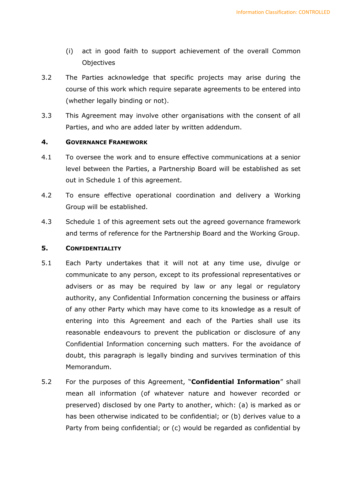- (i) act in good faith to support achievement of the overall Common **Objectives**
- 3.2 The Parties acknowledge that specific projects may arise during the course of this work which require separate agreements to be entered into (whether legally binding or not).
- 3.3 This Agreement may involve other organisations with the consent of all Parties, and who are added later by written addendum.

#### **4. GOVERNANCE FRAMEWORK**

- 4.1 To oversee the work and to ensure effective communications at a senior level between the Parties, a Partnership Board will be established as set out in Schedule 1 of this agreement.
- 4.2 To ensure effective operational coordination and delivery a Working Group will be established.
- 4.3 Schedule 1 of this agreement sets out the agreed governance framework and terms of reference for the Partnership Board and the Working Group.

#### **5. CONFIDENTIALITY**

- 5.1 Each Party undertakes that it will not at any time use, divulge or communicate to any person, except to its professional representatives or advisers or as may be required by law or any legal or regulatory authority, any Confidential Information concerning the business or affairs of any other Party which may have come to its knowledge as a result of entering into this Agreement and each of the Parties shall use its reasonable endeavours to prevent the publication or disclosure of any Confidential Information concerning such matters. For the avoidance of doubt, this paragraph is legally binding and survives termination of this Memorandum.
- 5.2 For the purposes of this Agreement, "**Confidential Information**" shall mean all information (of whatever nature and however recorded or preserved) disclosed by one Party to another, which: (a) is marked as or has been otherwise indicated to be confidential; or (b) derives value to a Party from being confidential; or (c) would be regarded as confidential by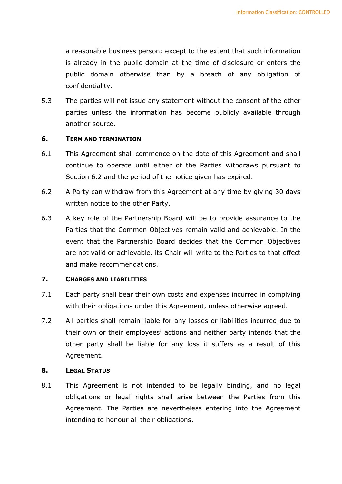a reasonable business person; except to the extent that such information is already in the public domain at the time of disclosure or enters the public domain otherwise than by a breach of any obligation of confidentiality.

5.3 The parties will not issue any statement without the consent of the other parties unless the information has become publicly available through another source.

# **6. TERM AND TERMINATION**

- 6.1 This Agreement shall commence on the date of this Agreement and shall continue to operate until either of the Parties withdraws pursuant to Section 6.2 and the period of the notice given has expired.
- 6.2 A Party can withdraw from this Agreement at any time by giving 30 days written notice to the other Party.
- 6.3 A key role of the Partnership Board will be to provide assurance to the Parties that the Common Objectives remain valid and achievable. In the event that the Partnership Board decides that the Common Objectives are not valid or achievable, its Chair will write to the Parties to that effect and make recommendations.

#### **7. CHARGES AND LIABILITIES**

- 7.1 Each party shall bear their own costs and expenses incurred in complying with their obligations under this Agreement, unless otherwise agreed.
- 7.2 All parties shall remain liable for any losses or liabilities incurred due to their own or their employees' actions and neither party intends that the other party shall be liable for any loss it suffers as a result of this Agreement.

# **8. LEGAL STATUS**

8.1 This Agreement is not intended to be legally binding, and no legal obligations or legal rights shall arise between the Parties from this Agreement. The Parties are nevertheless entering into the Agreement intending to honour all their obligations.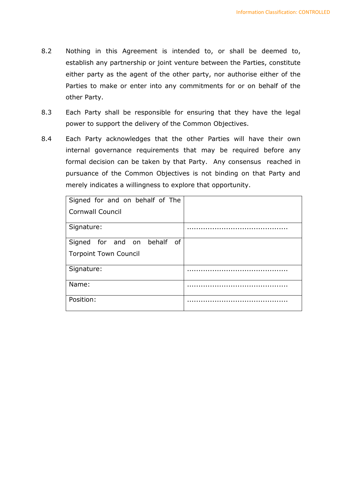- 8.2 Nothing in this Agreement is intended to, or shall be deemed to, establish any partnership or joint venture between the Parties, constitute either party as the agent of the other party, nor authorise either of the Parties to make or enter into any commitments for or on behalf of the other Party.
- 8.3 Each Party shall be responsible for ensuring that they have the legal power to support the delivery of the Common Objectives.
- 8.4 Each Party acknowledges that the other Parties will have their own internal governance requirements that may be required before any formal decision can be taken by that Party. Any consensus reached in pursuance of the Common Objectives is not binding on that Party and merely indicates a willingness to explore that opportunity.

| Signed for and on behalf of The |  |
|---------------------------------|--|
| <b>Cornwall Council</b>         |  |
| Signature:                      |  |
| Signed for and on behalf of     |  |
| <b>Torpoint Town Council</b>    |  |
| Signature:                      |  |
| Name:                           |  |
| Position:                       |  |